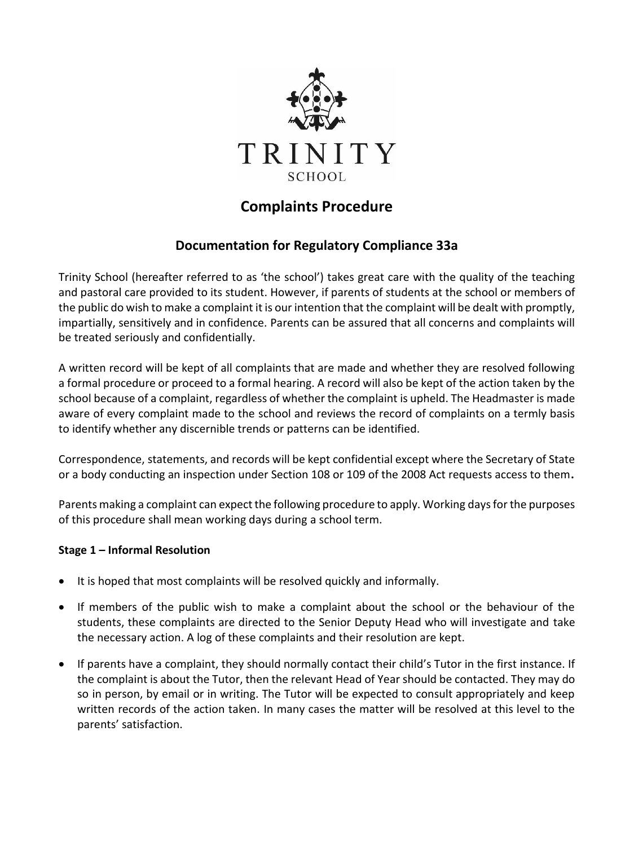

# **Complaints Procedure**

## **Documentation for Regulatory Compliance 33a**

Trinity School (hereafter referred to as 'the school') takes great care with the quality of the teaching and pastoral care provided to its student. However, if parents of students at the school or members of the public do wish to make a complaint it is our intention that the complaint will be dealt with promptly, impartially, sensitively and in confidence. Parents can be assured that all concerns and complaints will be treated seriously and confidentially.

A written record will be kept of all complaints that are made and whether they are resolved following a formal procedure or proceed to a formal hearing. A record will also be kept of the action taken by the school because of a complaint, regardless of whether the complaint is upheld. The Headmaster is made aware of every complaint made to the school and reviews the record of complaints on a termly basis to identify whether any discernible trends or patterns can be identified.

Correspondence, statements, and records will be kept confidential except where the Secretary of State or a body conducting an inspection under Section 108 or 109 of the 2008 Act requests access to them**.**

Parents making a complaint can expect the following procedure to apply. Working days for the purposes of this procedure shall mean working days during a school term.

#### **Stage 1 – Informal Resolution**

- It is hoped that most complaints will be resolved quickly and informally.
- If members of the public wish to make a complaint about the school or the behaviour of the students, these complaints are directed to the Senior Deputy Head who will investigate and take the necessary action. A log of these complaints and their resolution are kept.
- If parents have a complaint, they should normally contact their child's Tutor in the first instance. If the complaint is about the Tutor, then the relevant Head of Year should be contacted. They may do so in person, by email or in writing. The Tutor will be expected to consult appropriately and keep written records of the action taken. In many cases the matter will be resolved at this level to the parents' satisfaction.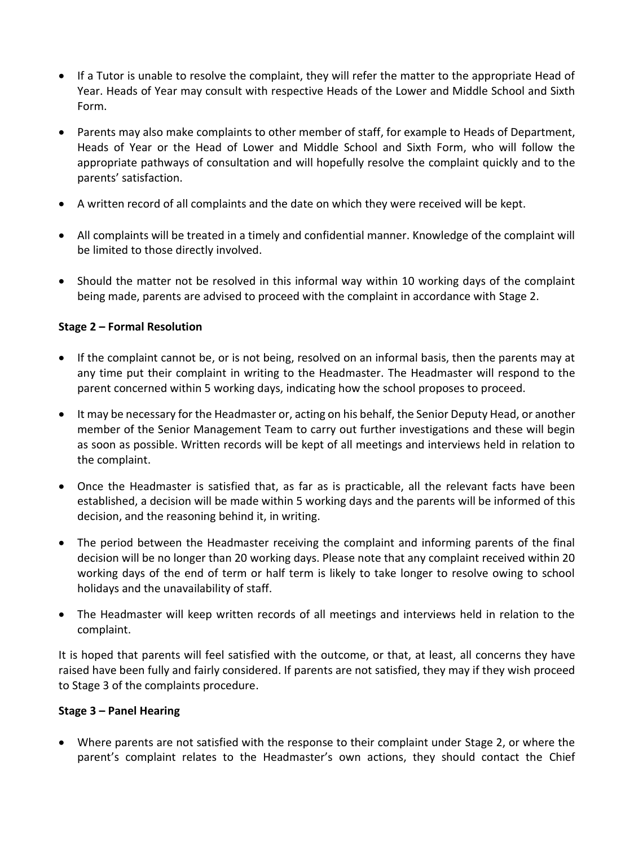- If a Tutor is unable to resolve the complaint, they will refer the matter to the appropriate Head of Year. Heads of Year may consult with respective Heads of the Lower and Middle School and Sixth Form.
- Parents may also make complaints to other member of staff, for example to Heads of Department, Heads of Year or the Head of Lower and Middle School and Sixth Form, who will follow the appropriate pathways of consultation and will hopefully resolve the complaint quickly and to the parents' satisfaction.
- A written record of all complaints and the date on which they were received will be kept.
- All complaints will be treated in a timely and confidential manner. Knowledge of the complaint will be limited to those directly involved.
- Should the matter not be resolved in this informal way within 10 working days of the complaint being made, parents are advised to proceed with the complaint in accordance with Stage 2.

### **Stage 2 – Formal Resolution**

- If the complaint cannot be, or is not being, resolved on an informal basis, then the parents may at any time put their complaint in writing to the Headmaster. The Headmaster will respond to the parent concerned within 5 working days, indicating how the school proposes to proceed.
- It may be necessary for the Headmaster or, acting on his behalf, the Senior Deputy Head, or another member of the Senior Management Team to carry out further investigations and these will begin as soon as possible. Written records will be kept of all meetings and interviews held in relation to the complaint.
- Once the Headmaster is satisfied that, as far as is practicable, all the relevant facts have been established, a decision will be made within 5 working days and the parents will be informed of this decision, and the reasoning behind it, in writing.
- The period between the Headmaster receiving the complaint and informing parents of the final decision will be no longer than 20 working days. Please note that any complaint received within 20 working days of the end of term or half term is likely to take longer to resolve owing to school holidays and the unavailability of staff.
- The Headmaster will keep written records of all meetings and interviews held in relation to the complaint.

It is hoped that parents will feel satisfied with the outcome, or that, at least, all concerns they have raised have been fully and fairly considered. If parents are not satisfied, they may if they wish proceed to Stage 3 of the complaints procedure.

#### **Stage 3 – Panel Hearing**

• Where parents are not satisfied with the response to their complaint under Stage 2, or where the parent's complaint relates to the Headmaster's own actions, they should contact the Chief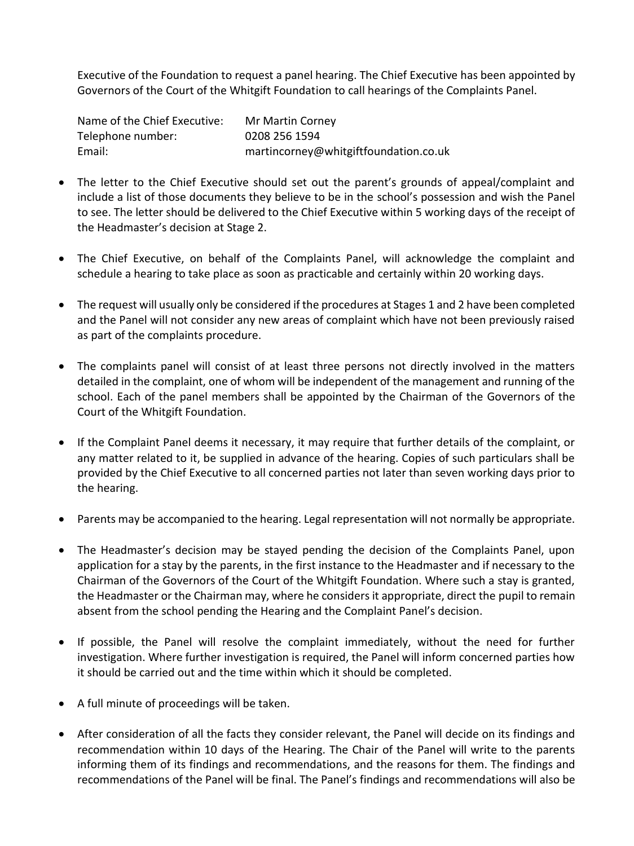Executive of the Foundation to request a panel hearing. The Chief Executive has been appointed by Governors of the Court of the Whitgift Foundation to call hearings of the Complaints Panel.

| Name of the Chief Executive: | Mr Martin Corney                      |
|------------------------------|---------------------------------------|
| Telephone number:            | 0208 256 1594                         |
| Email:                       | martincorney@whitgiftfoundation.co.uk |

- The letter to the Chief Executive should set out the parent's grounds of appeal/complaint and include a list of those documents they believe to be in the school's possession and wish the Panel to see. The letter should be delivered to the Chief Executive within 5 working days of the receipt of the Headmaster's decision at Stage 2.
- The Chief Executive, on behalf of the Complaints Panel, will acknowledge the complaint and schedule a hearing to take place as soon as practicable and certainly within 20 working days.
- The request will usually only be considered if the procedures at Stages 1 and 2 have been completed and the Panel will not consider any new areas of complaint which have not been previously raised as part of the complaints procedure.
- The complaints panel will consist of at least three persons not directly involved in the matters detailed in the complaint, one of whom will be independent of the management and running of the school. Each of the panel members shall be appointed by the Chairman of the Governors of the Court of the Whitgift Foundation.
- If the Complaint Panel deems it necessary, it may require that further details of the complaint, or any matter related to it, be supplied in advance of the hearing. Copies of such particulars shall be provided by the Chief Executive to all concerned parties not later than seven working days prior to the hearing.
- Parents may be accompanied to the hearing. Legal representation will not normally be appropriate.
- The Headmaster's decision may be stayed pending the decision of the Complaints Panel, upon application for a stay by the parents, in the first instance to the Headmaster and if necessary to the Chairman of the Governors of the Court of the Whitgift Foundation. Where such a stay is granted, the Headmaster or the Chairman may, where he considers it appropriate, direct the pupil to remain absent from the school pending the Hearing and the Complaint Panel's decision.
- If possible, the Panel will resolve the complaint immediately, without the need for further investigation. Where further investigation is required, the Panel will inform concerned parties how it should be carried out and the time within which it should be completed.
- A full minute of proceedings will be taken.
- After consideration of all the facts they consider relevant, the Panel will decide on its findings and recommendation within 10 days of the Hearing. The Chair of the Panel will write to the parents informing them of its findings and recommendations, and the reasons for them. The findings and recommendations of the Panel will be final. The Panel's findings and recommendations will also be